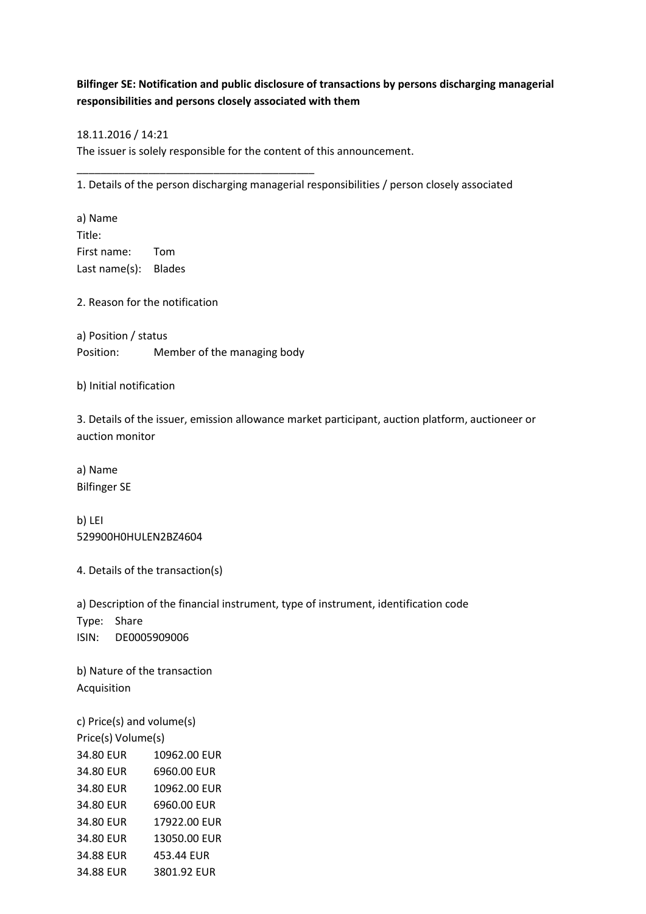## **Bilfinger SE: Notification and public disclosure of transactions by persons discharging managerial responsibilities and persons closely associated with them**

## 18.11.2016 / 14:21

The issuer is solely responsible for the content of this announcement.

1. Details of the person discharging managerial responsibilities / person closely associated

a) Name Title: First name: Tom Last name(s): Blades

2. Reason for the notification

a) Position / status Position: Member of the managing body

\_\_\_\_\_\_\_\_\_\_\_\_\_\_\_\_\_\_\_\_\_\_\_\_\_\_\_\_\_\_\_\_\_\_\_\_\_\_\_\_

b) Initial notification

3. Details of the issuer, emission allowance market participant, auction platform, auctioneer or auction monitor

a) Name Bilfinger SE

b) LEI 529900H0HULEN2BZ4604

4. Details of the transaction(s)

a) Description of the financial instrument, type of instrument, identification code Type: Share

ISIN: DE0005909006

b) Nature of the transaction Acquisition

c) Price(s) and volume(s) Price(s) Volume(s) 34.80 EUR 10962.00 EUR 34.80 EUR 6960.00 EUR 34.80 EUR 10962.00 EUR 34.80 EUR 6960.00 EUR 34.80 EUR 17922.00 EUR 34.80 EUR 13050.00 EUR 34.88 EUR 453.44 EUR 34.88 EUR 3801.92 EUR